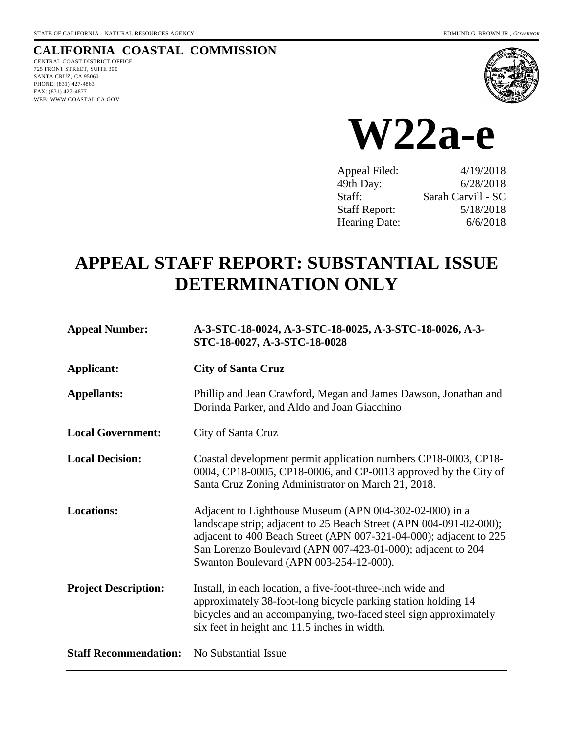### **CALIFORNIA COASTAL COMMISSION**

CENTRAL COAST DISTRICT OFFICE 725 FRONT STREET, SUITE 300 SANTA CRUZ, CA 95060 PHONE: (831) 427-4863 FAX: (831) 427-4877 WEB: WWW.COASTAL.CA.GOV





| 4/19/2018          |
|--------------------|
| 6/28/2018          |
| Sarah Carvill - SC |
| 5/18/2018          |
| 6/6/2018           |
|                    |

# **APPEAL STAFF REPORT: SUBSTANTIAL ISSUE DETERMINATION ONLY**

| <b>Appeal Number:</b>        | A-3-STC-18-0024, A-3-STC-18-0025, A-3-STC-18-0026, A-3-<br>STC-18-0027, A-3-STC-18-0028                                                                                                                                                                                                                       |
|------------------------------|---------------------------------------------------------------------------------------------------------------------------------------------------------------------------------------------------------------------------------------------------------------------------------------------------------------|
| Applicant:                   | <b>City of Santa Cruz</b>                                                                                                                                                                                                                                                                                     |
| <b>Appellants:</b>           | Phillip and Jean Crawford, Megan and James Dawson, Jonathan and<br>Dorinda Parker, and Aldo and Joan Giacchino                                                                                                                                                                                                |
| <b>Local Government:</b>     | City of Santa Cruz                                                                                                                                                                                                                                                                                            |
| <b>Local Decision:</b>       | Coastal development permit application numbers CP18-0003, CP18-<br>0004, CP18-0005, CP18-0006, and CP-0013 approved by the City of<br>Santa Cruz Zoning Administrator on March 21, 2018.                                                                                                                      |
| <b>Locations:</b>            | Adjacent to Lighthouse Museum (APN 004-302-02-000) in a<br>landscape strip; adjacent to 25 Beach Street (APN 004-091-02-000);<br>adjacent to 400 Beach Street (APN 007-321-04-000); adjacent to 225<br>San Lorenzo Boulevard (APN 007-423-01-000); adjacent to 204<br>Swanton Boulevard (APN 003-254-12-000). |
| <b>Project Description:</b>  | Install, in each location, a five-foot-three-inch wide and<br>approximately 38-foot-long bicycle parking station holding 14<br>bicycles and an accompanying, two-faced steel sign approximately<br>six feet in height and 11.5 inches in width.                                                               |
| <b>Staff Recommendation:</b> | No Substantial Issue                                                                                                                                                                                                                                                                                          |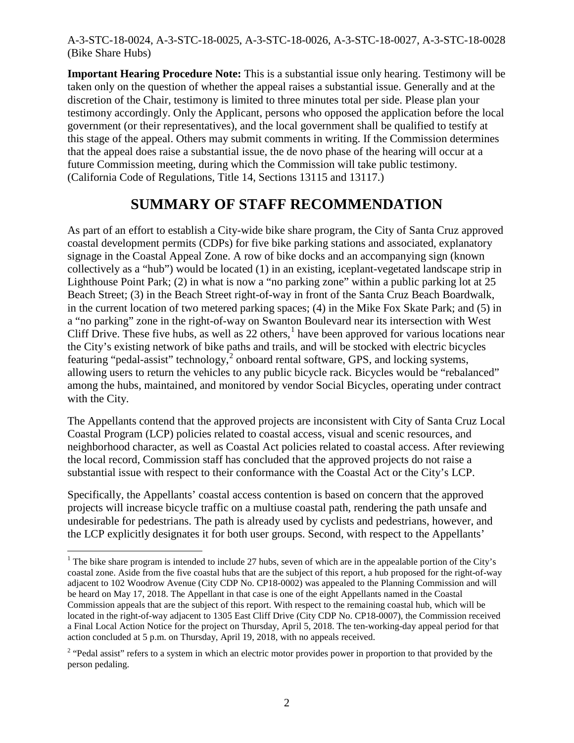**Important Hearing Procedure Note:** This is a substantial issue only hearing. Testimony will be taken only on the question of whether the appeal raises a substantial issue. Generally and at the discretion of the Chair, testimony is limited to three minutes total per side. Please plan your testimony accordingly. Only the Applicant, persons who opposed the application before the local government (or their representatives), and the local government shall be qualified to testify at this stage of the appeal. Others may submit comments in writing. If the Commission determines that the appeal does raise a substantial issue, the de novo phase of the hearing will occur at a future Commission meeting, during which the Commission will take public testimony. (California Code of Regulations, Title 14, Sections 13115 and 13117.)

# **SUMMARY OF STAFF RECOMMENDATION**

As part of an effort to establish a City-wide bike share program, the City of Santa Cruz approved coastal development permits (CDPs) for five bike parking stations and associated, explanatory signage in the Coastal Appeal Zone. A row of bike docks and an accompanying sign (known collectively as a "hub") would be located (1) in an existing, iceplant-vegetated landscape strip in Lighthouse Point Park; (2) in what is now a "no parking zone" within a public parking lot at 25 Beach Street; (3) in the Beach Street right-of-way in front of the Santa Cruz Beach Boardwalk, in the current location of two metered parking spaces; (4) in the Mike Fox Skate Park; and (5) in a "no parking" zone in the right-of-way on Swanton Boulevard near its intersection with West Cliff Drive. These five hubs, as well as  $22$  others,<sup>[1](#page-1-0)</sup> have been approved for various locations near the City's existing network of bike paths and trails, and will be stocked with electric bicycles featuring "pedal-assist" technology, $^2$  $^2$  onboard rental software, GPS, and locking systems, allowing users to return the vehicles to any public bicycle rack. Bicycles would be "rebalanced" among the hubs, maintained, and monitored by vendor Social Bicycles, operating under contract with the City.

The Appellants contend that the approved projects are inconsistent with City of Santa Cruz Local Coastal Program (LCP) policies related to coastal access, visual and scenic resources, and neighborhood character, as well as Coastal Act policies related to coastal access. After reviewing the local record, Commission staff has concluded that the approved projects do not raise a substantial issue with respect to their conformance with the Coastal Act or the City's LCP.

Specifically, the Appellants' coastal access contention is based on concern that the approved projects will increase bicycle traffic on a multiuse coastal path, rendering the path unsafe and undesirable for pedestrians. The path is already used by cyclists and pedestrians, however, and the LCP explicitly designates it for both user groups. Second, with respect to the Appellants'

<span id="page-1-0"></span><sup>&</sup>lt;sup>1</sup> The bike share program is intended to include 27 hubs, seven of which are in the appealable portion of the City's coastal zone. Aside from the five coastal hubs that are the subject of this report, a hub proposed for the right-of-way adjacent to 102 Woodrow Avenue (City CDP No. CP18-0002) was appealed to the Planning Commission and will be heard on May 17, 2018. The Appellant in that case is one of the eight Appellants named in the Coastal Commission appeals that are the subject of this report. With respect to the remaining coastal hub, which will be located in the right-of-way adjacent to 1305 East Cliff Drive (City CDP No. CP18-0007), the Commission received a Final Local Action Notice for the project on Thursday, April 5, 2018. The ten-working-day appeal period for that action concluded at 5 p.m. on Thursday, April 19, 2018, with no appeals received.

<span id="page-1-1"></span><sup>&</sup>lt;sup>2</sup> "Pedal assist" refers to a system in which an electric motor provides power in proportion to that provided by the person pedaling.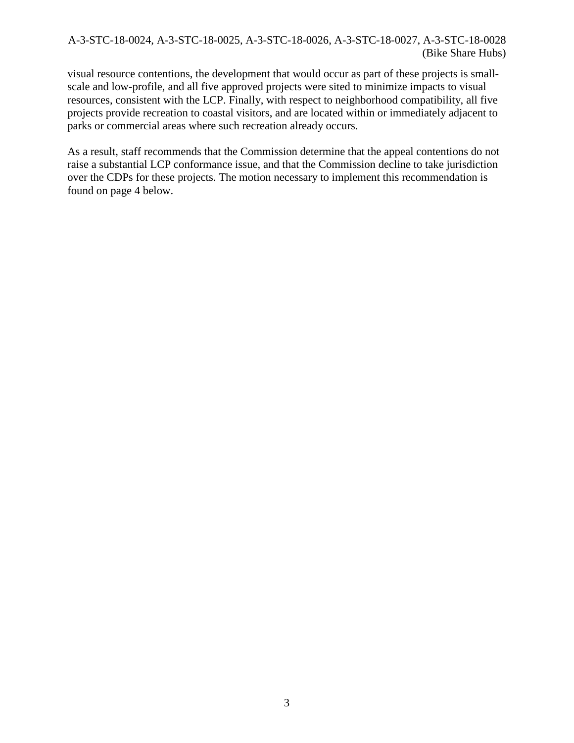visual resource contentions, the development that would occur as part of these projects is smallscale and low-profile, and all five approved projects were sited to minimize impacts to visual resources, consistent with the LCP. Finally, with respect to neighborhood compatibility, all five projects provide recreation to coastal visitors, and are located within or immediately adjacent to parks or commercial areas where such recreation already occurs.

As a result, staff recommends that the Commission determine that the appeal contentions do not raise a substantial LCP conformance issue, and that the Commission decline to take jurisdiction over the CDPs for these projects. The motion necessary to implement this recommendation is found on page 4 below.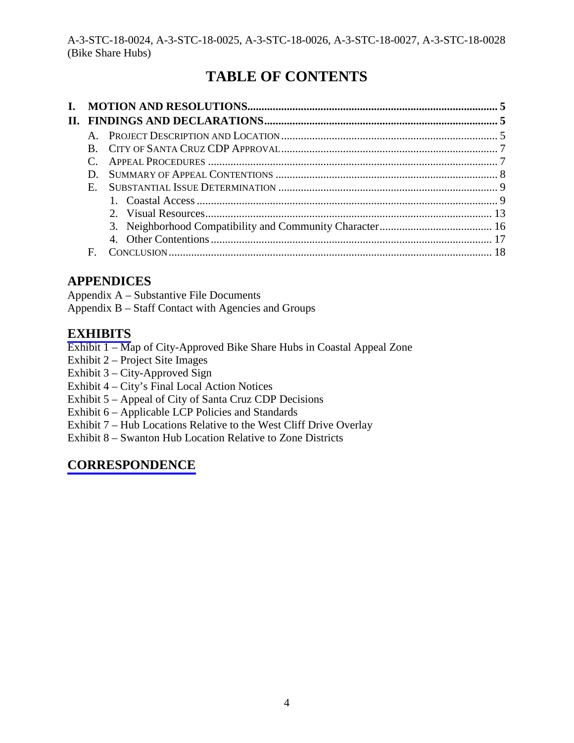# **TABLE OF CONTENTS**

| $\Pi$ . |                |  |
|---------|----------------|--|
|         |                |  |
|         |                |  |
|         |                |  |
|         | D.             |  |
|         | $E_{\rm{eff}}$ |  |
|         |                |  |
|         |                |  |
|         |                |  |
|         |                |  |
|         | E              |  |

# **APPENDICES**

Appendix A – Substantive File Documents Appendix B – Staff Contact with Agencies and Groups

# **[EXHIBITS](https://documents.coastal.ca.gov/reports/2018/6/w22a-e/w22a-e-6-2018-exhibits.pdf)**

Exhibit 1 – Map of City-Approved Bike Share Hubs in Coastal Appeal Zone

- Exhibit 2 Project Site Images
- Exhibit 3 City-Approved Sign
- Exhibit 4 City's Final Local Action Notices
- Exhibit 5 Appeal of City of Santa Cruz CDP Decisions
- Exhibit 6 Applicable LCP Policies and Standards
- Exhibit 7 Hub Locations Relative to the West Cliff Drive Overlay
- Exhibit 8 Swanton Hub Location Relative to Zone Districts

# **[CORRESPONDENCE](https://documents.coastal.ca.gov/reports/2018/6/w22a-e/w22a-e-6-2018-corresp.pdf)**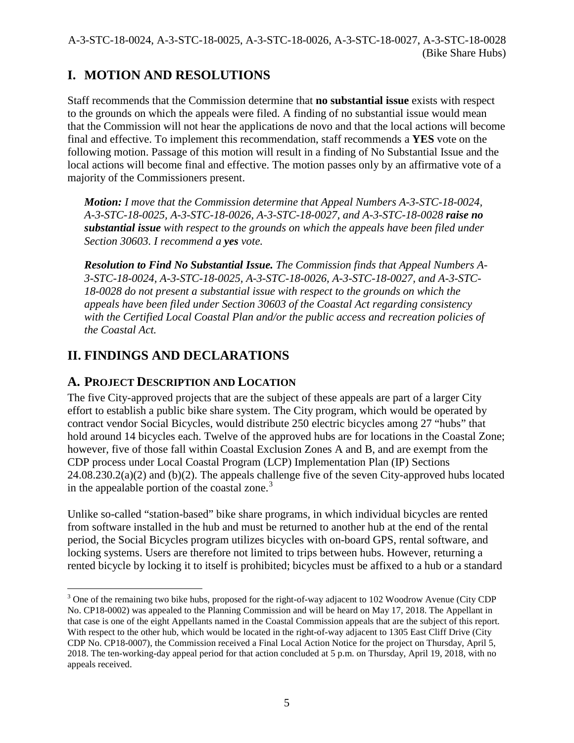# **I. MOTION AND RESOLUTIONS**

Staff recommends that the Commission determine that **no substantial issue** exists with respect to the grounds on which the appeals were filed. A finding of no substantial issue would mean that the Commission will not hear the applications de novo and that the local actions will become final and effective. To implement this recommendation, staff recommends a **YES** vote on the following motion. Passage of this motion will result in a finding of No Substantial Issue and the local actions will become final and effective. The motion passes only by an affirmative vote of a majority of the Commissioners present.

*Motion: I move that the Commission determine that Appeal Numbers A-3-STC-18-0024, A-3-STC-18-0025, A-3-STC-18-0026, A-3-STC-18-0027, and A-3-STC-18-0028 raise no substantial issue with respect to the grounds on which the appeals have been filed under Section 30603. I recommend a yes vote.*

*Resolution to Find No Substantial Issue. The Commission finds that Appeal Numbers A-3-STC-18-0024, A-3-STC-18-0025, A-3-STC-18-0026, A-3-STC-18-0027, and A-3-STC-18-0028 do not present a substantial issue with respect to the grounds on which the appeals have been filed under Section 30603 of the Coastal Act regarding consistency with the Certified Local Coastal Plan and/or the public access and recreation policies of the Coastal Act.* 

# **II. FINDINGS AND DECLARATIONS**

### **A. PROJECT DESCRIPTION AND LOCATION**

The five City-approved projects that are the subject of these appeals are part of a larger City effort to establish a public bike share system. The City program, which would be operated by contract vendor Social Bicycles, would distribute 250 electric bicycles among 27 "hubs" that hold around 14 bicycles each. Twelve of the approved hubs are for locations in the Coastal Zone; however, five of those fall within Coastal Exclusion Zones A and B, and are exempt from the CDP process under Local Coastal Program (LCP) Implementation Plan (IP) Sections  $24.08.230.2(a)(2)$  and (b)(2). The appeals challenge five of the seven City-approved hubs located in the appealable portion of the coastal zone. $3$ 

Unlike so-called "station-based" bike share programs, in which individual bicycles are rented from software installed in the hub and must be returned to another hub at the end of the rental period, the Social Bicycles program utilizes bicycles with on-board GPS, rental software, and locking systems. Users are therefore not limited to trips between hubs. However, returning a rented bicycle by locking it to itself is prohibited; bicycles must be affixed to a hub or a standard

<span id="page-4-0"></span> $\overline{a}$ <sup>3</sup> One of the remaining two bike hubs, proposed for the right-of-way adjacent to 102 Woodrow Avenue (City CDP No. CP18-0002) was appealed to the Planning Commission and will be heard on May 17, 2018. The Appellant in that case is one of the eight Appellants named in the Coastal Commission appeals that are the subject of this report. With respect to the other hub, which would be located in the right-of-way adjacent to 1305 East Cliff Drive (City CDP No. CP18-0007), the Commission received a Final Local Action Notice for the project on Thursday, April 5, 2018. The ten-working-day appeal period for that action concluded at 5 p.m. on Thursday, April 19, 2018, with no appeals received.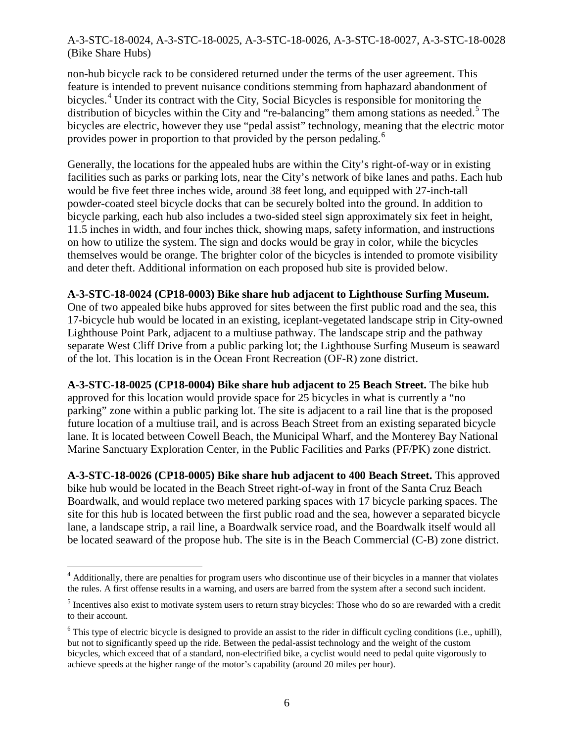non-hub bicycle rack to be considered returned under the terms of the user agreement. This feature is intended to prevent nuisance conditions stemming from haphazard abandonment of bicycles.<sup>[4](#page-5-0)</sup> Under its contract with the City, Social Bicycles is responsible for monitoring the distribution of bicycles within the City and "re-balancing" them among stations as needed.<sup>[5](#page-5-1)</sup> The bicycles are electric, however they use "pedal assist" technology, meaning that the electric motor provides power in proportion to that provided by the person pedaling.<sup>[6](#page-5-2)</sup>

Generally, the locations for the appealed hubs are within the City's right-of-way or in existing facilities such as parks or parking lots, near the City's network of bike lanes and paths. Each hub would be five feet three inches wide, around 38 feet long, and equipped with 27-inch-tall powder-coated steel bicycle docks that can be securely bolted into the ground. In addition to bicycle parking, each hub also includes a two-sided steel sign approximately six feet in height, 11.5 inches in width, and four inches thick, showing maps, safety information, and instructions on how to utilize the system. The sign and docks would be gray in color, while the bicycles themselves would be orange. The brighter color of the bicycles is intended to promote visibility and deter theft. Additional information on each proposed hub site is provided below.

#### **A-3-STC-18-0024 (CP18-0003) Bike share hub adjacent to Lighthouse Surfing Museum.**

One of two appealed bike hubs approved for sites between the first public road and the sea, this 17-bicycle hub would be located in an existing, iceplant-vegetated landscape strip in City-owned Lighthouse Point Park, adjacent to a multiuse pathway. The landscape strip and the pathway separate West Cliff Drive from a public parking lot; the Lighthouse Surfing Museum is seaward of the lot. This location is in the Ocean Front Recreation (OF-R) zone district.

**A-3-STC-18-0025 (CP18-0004) Bike share hub adjacent to 25 Beach Street.** The bike hub approved for this location would provide space for 25 bicycles in what is currently a "no parking" zone within a public parking lot. The site is adjacent to a rail line that is the proposed future location of a multiuse trail, and is across Beach Street from an existing separated bicycle lane. It is located between Cowell Beach, the Municipal Wharf, and the Monterey Bay National Marine Sanctuary Exploration Center, in the Public Facilities and Parks (PF/PK) zone district.

**A-3-STC-18-0026 (CP18-0005) Bike share hub adjacent to 400 Beach Street.** This approved bike hub would be located in the Beach Street right-of-way in front of the Santa Cruz Beach Boardwalk, and would replace two metered parking spaces with 17 bicycle parking spaces. The site for this hub is located between the first public road and the sea, however a separated bicycle lane, a landscape strip, a rail line, a Boardwalk service road, and the Boardwalk itself would all be located seaward of the propose hub. The site is in the Beach Commercial (C-B) zone district.

<span id="page-5-0"></span><sup>&</sup>lt;sup>4</sup> Additionally, there are penalties for program users who discontinue use of their bicycles in a manner that violates the rules. A first offense results in a warning, and users are barred from the system after a second such incident.

<span id="page-5-1"></span><sup>&</sup>lt;sup>5</sup> Incentives also exist to motivate system users to return stray bicycles: Those who do so are rewarded with a credit to their account.

<span id="page-5-2"></span> $6$  This type of electric bicycle is designed to provide an assist to the rider in difficult cycling conditions (i.e., uphill), but not to significantly speed up the ride. Between the pedal-assist technology and the weight of the custom bicycles, which exceed that of a standard, non-electrified bike, a cyclist would need to pedal quite vigorously to achieve speeds at the higher range of the motor's capability (around 20 miles per hour).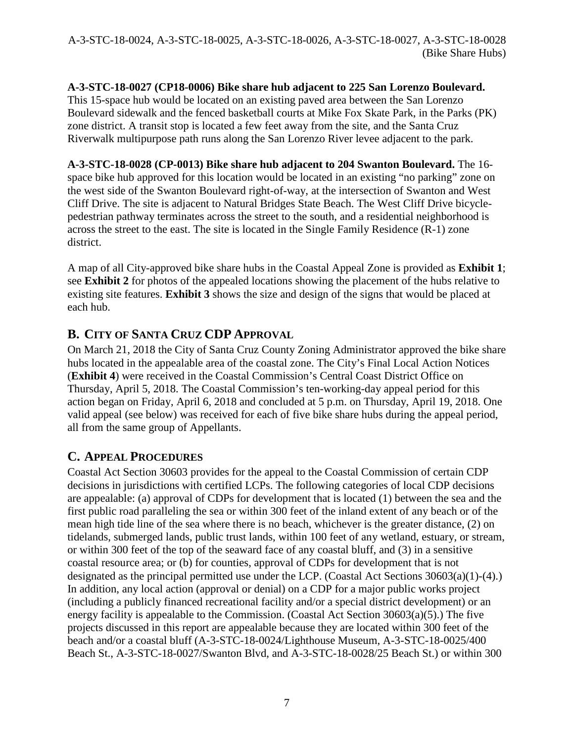### **A-3-STC-18-0027 (CP18-0006) Bike share hub adjacent to 225 San Lorenzo Boulevard.**

This 15-space hub would be located on an existing paved area between the San Lorenzo Boulevard sidewalk and the fenced basketball courts at Mike Fox Skate Park, in the Parks (PK) zone district. A transit stop is located a few feet away from the site, and the Santa Cruz Riverwalk multipurpose path runs along the San Lorenzo River levee adjacent to the park.

**A-3-STC-18-0028 (CP-0013) Bike share hub adjacent to 204 Swanton Boulevard.** The 16 space bike hub approved for this location would be located in an existing "no parking" zone on the west side of the Swanton Boulevard right-of-way, at the intersection of Swanton and West Cliff Drive. The site is adjacent to Natural Bridges State Beach. The West Cliff Drive bicyclepedestrian pathway terminates across the street to the south, and a residential neighborhood is across the street to the east. The site is located in the Single Family Residence (R-1) zone district.

A map of all City-approved bike share hubs in the Coastal Appeal Zone is provided as **Exhibit 1**; see **Exhibit 2** for photos of the appealed locations showing the placement of the hubs relative to existing site features. **Exhibit 3** shows the size and design of the signs that would be placed at each hub.

# **B. CITY OF SANTA CRUZ CDP APPROVAL**

On March 21, 2018 the City of Santa Cruz County Zoning Administrator approved the bike share hubs located in the appealable area of the coastal zone. The City's Final Local Action Notices (**Exhibit 4**) were received in the Coastal Commission's Central Coast District Office on Thursday, April 5, 2018. The Coastal Commission's ten-working-day appeal period for this action began on Friday, April 6, 2018 and concluded at 5 p.m. on Thursday, April 19, 2018. One valid appeal (see below) was received for each of five bike share hubs during the appeal period, all from the same group of Appellants.

### **C. APPEAL PROCEDURES**

Coastal Act Section 30603 provides for the appeal to the Coastal Commission of certain CDP decisions in jurisdictions with certified LCPs. The following categories of local CDP decisions are appealable: (a) approval of CDPs for development that is located (1) between the sea and the first public road paralleling the sea or within 300 feet of the inland extent of any beach or of the mean high tide line of the sea where there is no beach, whichever is the greater distance, (2) on tidelands, submerged lands, public trust lands, within 100 feet of any wetland, estuary, or stream, or within 300 feet of the top of the seaward face of any coastal bluff, and (3) in a sensitive coastal resource area; or (b) for counties, approval of CDPs for development that is not designated as the principal permitted use under the LCP. (Coastal Act Sections 30603(a)(1)-(4).) In addition, any local action (approval or denial) on a CDP for a major public works project (including a publicly financed recreational facility and/or a special district development) or an energy facility is appealable to the Commission. (Coastal Act Section 30603(a)(5).) The five projects discussed in this report are appealable because they are located within 300 feet of the beach and/or a coastal bluff (A-3-STC-18-0024/Lighthouse Museum, A-3-STC-18-0025/400 Beach St., A-3-STC-18-0027/Swanton Blvd, and A-3-STC-18-0028/25 Beach St.) or within 300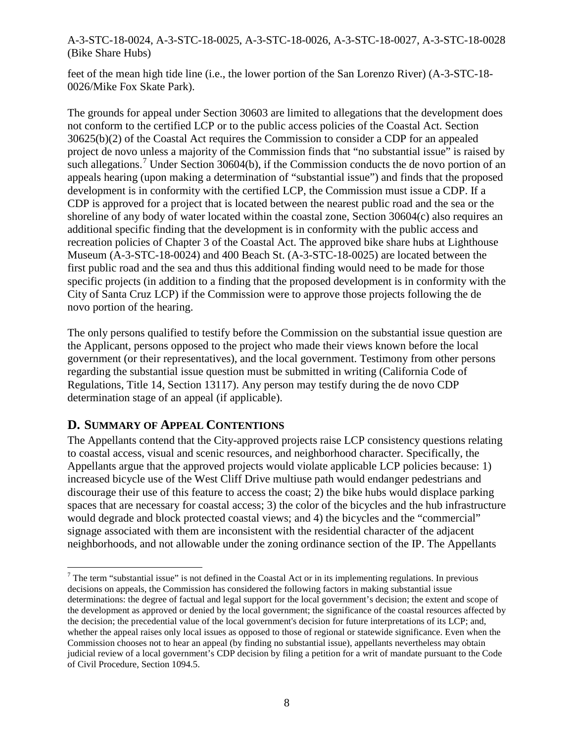feet of the mean high tide line (i.e., the lower portion of the San Lorenzo River) (A-3-STC-18- 0026/Mike Fox Skate Park).

The grounds for appeal under Section 30603 are limited to allegations that the development does not conform to the certified LCP or to the public access policies of the Coastal Act. Section 30625(b)(2) of the Coastal Act requires the Commission to consider a CDP for an appealed project de novo unless a majority of the Commission finds that "no substantial issue" is raised by such allegations.<sup>[7](#page-7-0)</sup> Under Section 30604(b), if the Commission conducts the de novo portion of an appeals hearing (upon making a determination of "substantial issue") and finds that the proposed development is in conformity with the certified LCP, the Commission must issue a CDP. If a CDP is approved for a project that is located between the nearest public road and the sea or the shoreline of any body of water located within the coastal zone, Section 30604(c) also requires an additional specific finding that the development is in conformity with the public access and recreation policies of Chapter 3 of the Coastal Act. The approved bike share hubs at Lighthouse Museum (A-3-STC-18-0024) and 400 Beach St. (A-3-STC-18-0025) are located between the first public road and the sea and thus this additional finding would need to be made for those specific projects (in addition to a finding that the proposed development is in conformity with the City of Santa Cruz LCP) if the Commission were to approve those projects following the de novo portion of the hearing.

The only persons qualified to testify before the Commission on the substantial issue question are the Applicant, persons opposed to the project who made their views known before the local government (or their representatives), and the local government. Testimony from other persons regarding the substantial issue question must be submitted in writing (California Code of Regulations, Title 14, Section 13117). Any person may testify during the de novo CDP determination stage of an appeal (if applicable).

### **D. SUMMARY OF APPEAL CONTENTIONS**

The Appellants contend that the City-approved projects raise LCP consistency questions relating to coastal access, visual and scenic resources, and neighborhood character. Specifically, the Appellants argue that the approved projects would violate applicable LCP policies because: 1) increased bicycle use of the West Cliff Drive multiuse path would endanger pedestrians and discourage their use of this feature to access the coast; 2) the bike hubs would displace parking spaces that are necessary for coastal access; 3) the color of the bicycles and the hub infrastructure would degrade and block protected coastal views; and 4) the bicycles and the "commercial" signage associated with them are inconsistent with the residential character of the adjacent neighborhoods, and not allowable under the zoning ordinance section of the IP. The Appellants

<span id="page-7-0"></span> $\overline{a}$  $7$  The term "substantial issue" is not defined in the Coastal Act or in its implementing regulations. In previous decisions on appeals, the Commission has considered the following factors in making substantial issue determinations: the degree of factual and legal support for the local government's decision; the extent and scope of the development as approved or denied by the local government; the significance of the coastal resources affected by the decision; the precedential value of the local government's decision for future interpretations of its LCP; and, whether the appeal raises only local issues as opposed to those of regional or statewide significance. Even when the Commission chooses not to hear an appeal (by finding no substantial issue), appellants nevertheless may obtain judicial review of a local government's CDP decision by filing a petition for a writ of mandate pursuant to the Code of Civil Procedure, Section 1094.5.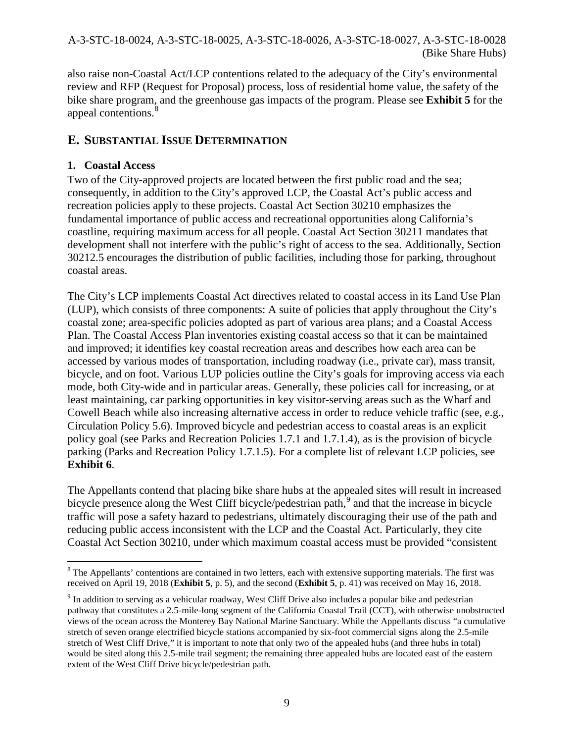also raise non-Coastal Act/LCP contentions related to the adequacy of the City's environmental review and RFP (Request for Proposal) process, loss of residential home value, the safety of the bike share program, and the greenhouse gas impacts of the program. Please see **Exhibit 5** for the appeal contentions.<sup>[8](#page-8-0)</sup>

### **E. SUBSTANTIAL ISSUE DETERMINATION**

### **1. Coastal Access**

Two of the City-approved projects are located between the first public road and the sea; consequently, in addition to the City's approved LCP, the Coastal Act's public access and recreation policies apply to these projects. Coastal Act Section 30210 emphasizes the fundamental importance of public access and recreational opportunities along California's coastline, requiring maximum access for all people. Coastal Act Section 30211 mandates that development shall not interfere with the public's right of access to the sea. Additionally, Section 30212.5 encourages the distribution of public facilities, including those for parking, throughout coastal areas.

The City's LCP implements Coastal Act directives related to coastal access in its Land Use Plan (LUP), which consists of three components: A suite of policies that apply throughout the City's coastal zone; area-specific policies adopted as part of various area plans; and a Coastal Access Plan. The Coastal Access Plan inventories existing coastal access so that it can be maintained and improved; it identifies key coastal recreation areas and describes how each area can be accessed by various modes of transportation, including roadway (i.e., private car), mass transit, bicycle, and on foot. Various LUP policies outline the City's goals for improving access via each mode, both City-wide and in particular areas. Generally, these policies call for increasing, or at least maintaining, car parking opportunities in key visitor-serving areas such as the Wharf and Cowell Beach while also increasing alternative access in order to reduce vehicle traffic (see, e.g., Circulation Policy 5.6). Improved bicycle and pedestrian access to coastal areas is an explicit policy goal (see Parks and Recreation Policies 1.7.1 and 1.7.1.4), as is the provision of bicycle parking (Parks and Recreation Policy 1.7.1.5). For a complete list of relevant LCP policies, see **Exhibit 6**.

The Appellants contend that placing bike share hubs at the appealed sites will result in increased bicycle presence along the West Cliff bicycle/pedestrian path, $9$  and that the increase in bicycle traffic will pose a safety hazard to pedestrians, ultimately discouraging their use of the path and reducing public access inconsistent with the LCP and the Coastal Act. Particularly, they cite Coastal Act Section 30210, under which maximum coastal access must be provided "consistent

<span id="page-8-0"></span> $\overline{a}$ <sup>8</sup> The Appellants' contentions are contained in two letters, each with extensive supporting materials. The first was received on April 19, 2018 (**Exhibit 5**, p. 5), and the second (**Exhibit 5**, p. 41) was received on May 16, 2018.

<span id="page-8-1"></span><sup>9</sup> In addition to serving as a vehicular roadway, West Cliff Drive also includes a popular bike and pedestrian pathway that constitutes a 2.5-mile-long segment of the California Coastal Trail (CCT), with otherwise unobstructed views of the ocean across the Monterey Bay National Marine Sanctuary. While the Appellants discuss "a cumulative stretch of seven orange electrified bicycle stations accompanied by six-foot commercial signs along the 2.5-mile stretch of West Cliff Drive," it is important to note that only two of the appealed hubs (and three hubs in total) would be sited along this 2.5-mile trail segment; the remaining three appealed hubs are located east of the eastern extent of the West Cliff Drive bicycle/pedestrian path.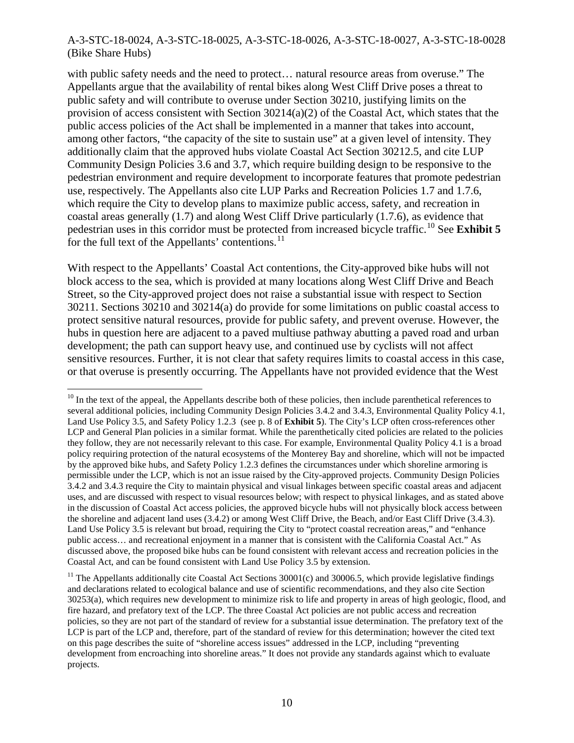with public safety needs and the need to protect… natural resource areas from overuse." The Appellants argue that the availability of rental bikes along West Cliff Drive poses a threat to public safety and will contribute to overuse under Section 30210, justifying limits on the provision of access consistent with Section  $30214(a)(2)$  of the Coastal Act, which states that the public access policies of the Act shall be implemented in a manner that takes into account, among other factors, "the capacity of the site to sustain use" at a given level of intensity. They additionally claim that the approved hubs violate Coastal Act Section 30212.5, and cite LUP Community Design Policies 3.6 and 3.7, which require building design to be responsive to the pedestrian environment and require development to incorporate features that promote pedestrian use, respectively. The Appellants also cite LUP Parks and Recreation Policies 1.7 and 1.7.6, which require the City to develop plans to maximize public access, safety, and recreation in coastal areas generally (1.7) and along West Cliff Drive particularly (1.7.6), as evidence that pedestrian uses in this corridor must be protected from increased bicycle traffic. [10](#page-9-0) See **Exhibit 5**  for the full text of the Appellants' contentions.<sup>[11](#page-9-1)</sup>

With respect to the Appellants' Coastal Act contentions, the City-approved bike hubs will not block access to the sea, which is provided at many locations along West Cliff Drive and Beach Street, so the City-approved project does not raise a substantial issue with respect to Section 30211. Sections 30210 and 30214(a) do provide for some limitations on public coastal access to protect sensitive natural resources, provide for public safety, and prevent overuse. However, the hubs in question here are adjacent to a paved multiuse pathway abutting a paved road and urban development; the path can support heavy use, and continued use by cyclists will not affect sensitive resources. Further, it is not clear that safety requires limits to coastal access in this case, or that overuse is presently occurring. The Appellants have not provided evidence that the West

<span id="page-9-0"></span> $\overline{a}$  $10$  In the text of the appeal, the Appellants describe both of these policies, then include parenthetical references to several additional policies, including Community Design Policies 3.4.2 and 3.4.3, Environmental Quality Policy 4.1, Land Use Policy 3.5, and Safety Policy 1.2.3 (see p. 8 of **Exhibit 5**). The City's LCP often cross-references other LCP and General Plan policies in a similar format. While the parenthetically cited policies are related to the policies they follow, they are not necessarily relevant to this case. For example, Environmental Quality Policy 4.1 is a broad policy requiring protection of the natural ecosystems of the Monterey Bay and shoreline, which will not be impacted by the approved bike hubs, and Safety Policy 1.2.3 defines the circumstances under which shoreline armoring is permissible under the LCP, which is not an issue raised by the City-approved projects. Community Design Policies 3.4.2 and 3.4.3 require the City to maintain physical and visual linkages between specific coastal areas and adjacent uses, and are discussed with respect to visual resources below; with respect to physical linkages, and as stated above in the discussion of Coastal Act access policies, the approved bicycle hubs will not physically block access between the shoreline and adjacent land uses (3.4.2) or among West Cliff Drive, the Beach, and/or East Cliff Drive (3.4.3). Land Use Policy 3.5 is relevant but broad, requiring the City to "protect coastal recreation areas," and "enhance public access… and recreational enjoyment in a manner that is consistent with the California Coastal Act." As discussed above, the proposed bike hubs can be found consistent with relevant access and recreation policies in the Coastal Act, and can be found consistent with Land Use Policy 3.5 by extension.

<span id="page-9-1"></span><sup>&</sup>lt;sup>11</sup> The Appellants additionally cite Coastal Act Sections  $30001(c)$  and  $30006.5$ , which provide legislative findings and declarations related to ecological balance and use of scientific recommendations, and they also cite Section 30253(a), which requires new development to minimize risk to life and property in areas of high geologic, flood, and fire hazard, and prefatory text of the LCP. The three Coastal Act policies are not public access and recreation policies, so they are not part of the standard of review for a substantial issue determination. The prefatory text of the LCP is part of the LCP and, therefore, part of the standard of review for this determination; however the cited text on this page describes the suite of "shoreline access issues" addressed in the LCP, including "preventing development from encroaching into shoreline areas." It does not provide any standards against which to evaluate projects.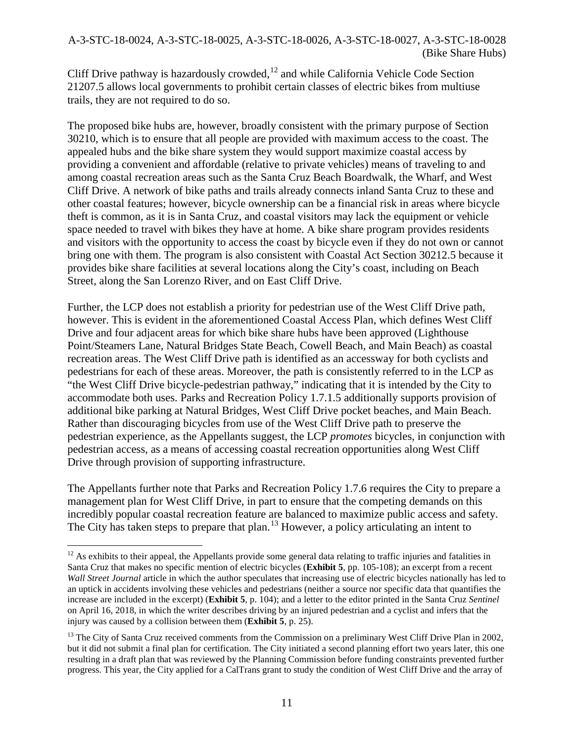Cliff Drive pathway is hazardously crowded, $12$  and while California Vehicle Code Section 21207.5 allows local governments to prohibit certain classes of electric bikes from multiuse trails, they are not required to do so.

The proposed bike hubs are, however, broadly consistent with the primary purpose of Section 30210, which is to ensure that all people are provided with maximum access to the coast. The appealed hubs and the bike share system they would support maximize coastal access by providing a convenient and affordable (relative to private vehicles) means of traveling to and among coastal recreation areas such as the Santa Cruz Beach Boardwalk, the Wharf, and West Cliff Drive. A network of bike paths and trails already connects inland Santa Cruz to these and other coastal features; however, bicycle ownership can be a financial risk in areas where bicycle theft is common, as it is in Santa Cruz, and coastal visitors may lack the equipment or vehicle space needed to travel with bikes they have at home. A bike share program provides residents and visitors with the opportunity to access the coast by bicycle even if they do not own or cannot bring one with them. The program is also consistent with Coastal Act Section 30212.5 because it provides bike share facilities at several locations along the City's coast, including on Beach Street, along the San Lorenzo River, and on East Cliff Drive.

Further, the LCP does not establish a priority for pedestrian use of the West Cliff Drive path, however. This is evident in the aforementioned Coastal Access Plan, which defines West Cliff Drive and four adjacent areas for which bike share hubs have been approved (Lighthouse Point/Steamers Lane, Natural Bridges State Beach, Cowell Beach, and Main Beach) as coastal recreation areas. The West Cliff Drive path is identified as an accessway for both cyclists and pedestrians for each of these areas. Moreover, the path is consistently referred to in the LCP as "the West Cliff Drive bicycle-pedestrian pathway," indicating that it is intended by the City to accommodate both uses. Parks and Recreation Policy 1.7.1.5 additionally supports provision of additional bike parking at Natural Bridges, West Cliff Drive pocket beaches, and Main Beach. Rather than discouraging bicycles from use of the West Cliff Drive path to preserve the pedestrian experience, as the Appellants suggest, the LCP *promotes* bicycles, in conjunction with pedestrian access, as a means of accessing coastal recreation opportunities along West Cliff Drive through provision of supporting infrastructure.

The Appellants further note that Parks and Recreation Policy 1.7.6 requires the City to prepare a management plan for West Cliff Drive, in part to ensure that the competing demands on this incredibly popular coastal recreation feature are balanced to maximize public access and safety. The City has taken steps to prepare that plan.<sup>[13](#page-10-1)</sup> However, a policy articulating an intent to

<span id="page-10-0"></span> $\overline{a}$  $12$  As exhibits to their appeal, the Appellants provide some general data relating to traffic injuries and fatalities in Santa Cruz that makes no specific mention of electric bicycles (**Exhibit 5**, pp. 105-108); an excerpt from a recent *Wall Street Journal* article in which the author speculates that increasing use of electric bicycles nationally has led to an uptick in accidents involving these vehicles and pedestrians (neither a source nor specific data that quantifies the increase are included in the excerpt) (**Exhibit 5**, p. 104); and a letter to the editor printed in the Santa Cruz *Sentinel* on April 16, 2018, in which the writer describes driving by an injured pedestrian and a cyclist and infers that the injury was caused by a collision between them (**Exhibit 5**, p. 25).

<span id="page-10-1"></span><sup>&</sup>lt;sup>13</sup> The City of Santa Cruz received comments from the Commission on a preliminary West Cliff Drive Plan in 2002, but it did not submit a final plan for certification. The City initiated a second planning effort two years later, this one resulting in a draft plan that was reviewed by the Planning Commission before funding constraints prevented further progress. This year, the City applied for a CalTrans grant to study the condition of West Cliff Drive and the array of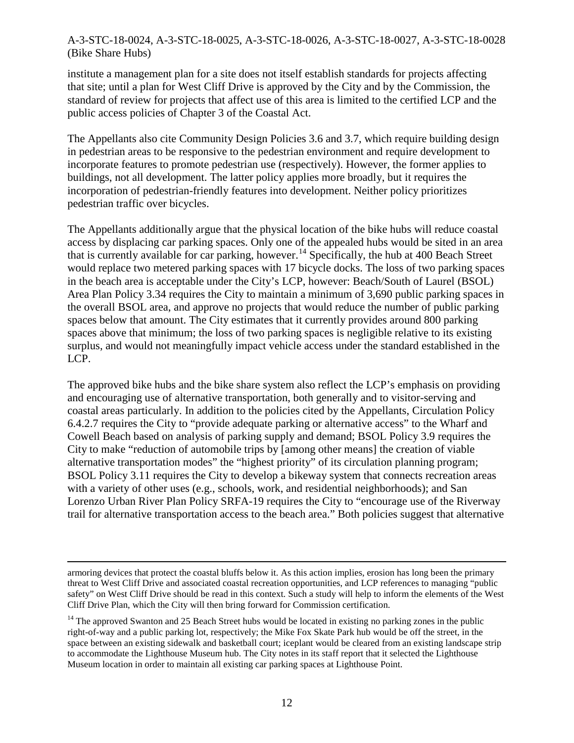institute a management plan for a site does not itself establish standards for projects affecting that site; until a plan for West Cliff Drive is approved by the City and by the Commission, the standard of review for projects that affect use of this area is limited to the certified LCP and the public access policies of Chapter 3 of the Coastal Act.

The Appellants also cite Community Design Policies 3.6 and 3.7, which require building design in pedestrian areas to be responsive to the pedestrian environment and require development to incorporate features to promote pedestrian use (respectively). However, the former applies to buildings, not all development. The latter policy applies more broadly, but it requires the incorporation of pedestrian-friendly features into development. Neither policy prioritizes pedestrian traffic over bicycles.

The Appellants additionally argue that the physical location of the bike hubs will reduce coastal access by displacing car parking spaces. Only one of the appealed hubs would be sited in an area that is currently available for car parking, however.<sup>[14](#page-11-0)</sup> Specifically, the hub at 400 Beach Street would replace two metered parking spaces with 17 bicycle docks. The loss of two parking spaces in the beach area is acceptable under the City's LCP, however: Beach/South of Laurel (BSOL) Area Plan Policy 3.34 requires the City to maintain a minimum of 3,690 public parking spaces in the overall BSOL area, and approve no projects that would reduce the number of public parking spaces below that amount. The City estimates that it currently provides around 800 parking spaces above that minimum; the loss of two parking spaces is negligible relative to its existing surplus, and would not meaningfully impact vehicle access under the standard established in the LCP.

The approved bike hubs and the bike share system also reflect the LCP's emphasis on providing and encouraging use of alternative transportation, both generally and to visitor-serving and coastal areas particularly. In addition to the policies cited by the Appellants, Circulation Policy 6.4.2.7 requires the City to "provide adequate parking or alternative access" to the Wharf and Cowell Beach based on analysis of parking supply and demand; BSOL Policy 3.9 requires the City to make "reduction of automobile trips by [among other means] the creation of viable alternative transportation modes" the "highest priority" of its circulation planning program; BSOL Policy 3.11 requires the City to develop a bikeway system that connects recreation areas with a variety of other uses (e.g., schools, work, and residential neighborhoods); and San Lorenzo Urban River Plan Policy SRFA-19 requires the City to "encourage use of the Riverway trail for alternative transportation access to the beach area." Both policies suggest that alternative

armoring devices that protect the coastal bluffs below it. As this action implies, erosion has long been the primary threat to West Cliff Drive and associated coastal recreation opportunities, and LCP references to managing "public safety" on West Cliff Drive should be read in this context. Such a study will help to inform the elements of the West Cliff Drive Plan, which the City will then bring forward for Commission certification.

<span id="page-11-0"></span><sup>&</sup>lt;sup>14</sup> The approved Swanton and 25 Beach Street hubs would be located in existing no parking zones in the public right-of-way and a public parking lot, respectively; the Mike Fox Skate Park hub would be off the street, in the space between an existing sidewalk and basketball court; iceplant would be cleared from an existing landscape strip to accommodate the Lighthouse Museum hub. The City notes in its staff report that it selected the Lighthouse Museum location in order to maintain all existing car parking spaces at Lighthouse Point.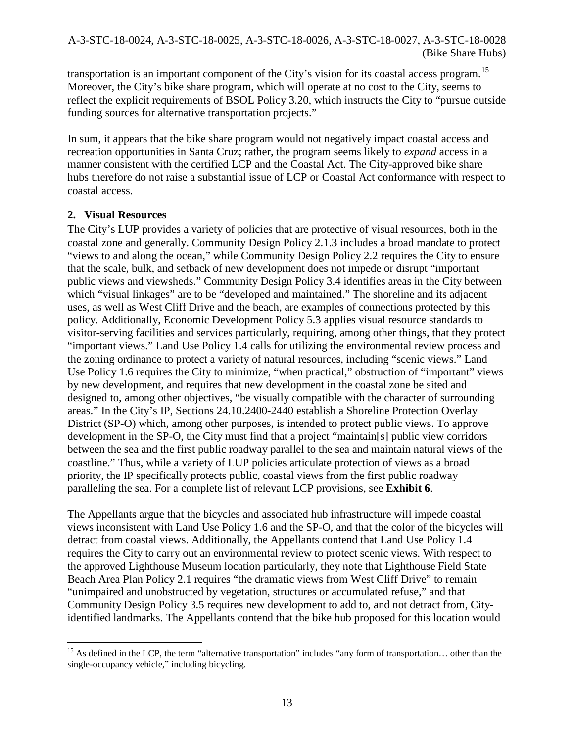transportation is an important component of the City's vision for its coastal access program.<sup>[15](#page-12-0)</sup> Moreover, the City's bike share program, which will operate at no cost to the City, seems to reflect the explicit requirements of BSOL Policy 3.20, which instructs the City to "pursue outside funding sources for alternative transportation projects."

In sum, it appears that the bike share program would not negatively impact coastal access and recreation opportunities in Santa Cruz; rather, the program seems likely to *expand* access in a manner consistent with the certified LCP and the Coastal Act. The City-approved bike share hubs therefore do not raise a substantial issue of LCP or Coastal Act conformance with respect to coastal access.

### **2. Visual Resources**

The City's LUP provides a variety of policies that are protective of visual resources, both in the coastal zone and generally. Community Design Policy 2.1.3 includes a broad mandate to protect "views to and along the ocean," while Community Design Policy 2.2 requires the City to ensure that the scale, bulk, and setback of new development does not impede or disrupt "important public views and viewsheds." Community Design Policy 3.4 identifies areas in the City between which "visual linkages" are to be "developed and maintained." The shoreline and its adjacent uses, as well as West Cliff Drive and the beach, are examples of connections protected by this policy. Additionally, Economic Development Policy 5.3 applies visual resource standards to visitor-serving facilities and services particularly, requiring, among other things, that they protect "important views." Land Use Policy 1.4 calls for utilizing the environmental review process and the zoning ordinance to protect a variety of natural resources, including "scenic views." Land Use Policy 1.6 requires the City to minimize, "when practical," obstruction of "important" views by new development, and requires that new development in the coastal zone be sited and designed to, among other objectives, "be visually compatible with the character of surrounding areas." In the City's IP, Sections 24.10.2400-2440 establish a Shoreline Protection Overlay District (SP-O) which, among other purposes, is intended to protect public views. To approve development in the SP-O, the City must find that a project "maintain[s] public view corridors between the sea and the first public roadway parallel to the sea and maintain natural views of the coastline." Thus, while a variety of LUP policies articulate protection of views as a broad priority, the IP specifically protects public, coastal views from the first public roadway paralleling the sea. For a complete list of relevant LCP provisions, see **Exhibit 6**.

The Appellants argue that the bicycles and associated hub infrastructure will impede coastal views inconsistent with Land Use Policy 1.6 and the SP-O, and that the color of the bicycles will detract from coastal views. Additionally, the Appellants contend that Land Use Policy 1.4 requires the City to carry out an environmental review to protect scenic views. With respect to the approved Lighthouse Museum location particularly, they note that Lighthouse Field State Beach Area Plan Policy 2.1 requires "the dramatic views from West Cliff Drive" to remain "unimpaired and unobstructed by vegetation, structures or accumulated refuse," and that Community Design Policy 3.5 requires new development to add to, and not detract from, Cityidentified landmarks. The Appellants contend that the bike hub proposed for this location would

<span id="page-12-0"></span> $\overline{a}$ <sup>15</sup> As defined in the LCP, the term "alternative transportation" includes "any form of transportation... other than the single-occupancy vehicle," including bicycling.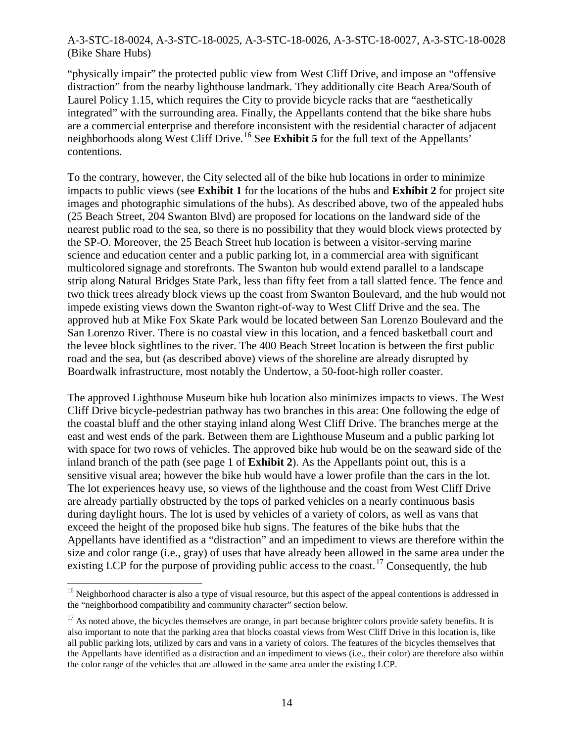"physically impair" the protected public view from West Cliff Drive, and impose an "offensive distraction" from the nearby lighthouse landmark. They additionally cite Beach Area/South of Laurel Policy 1.15, which requires the City to provide bicycle racks that are "aesthetically integrated" with the surrounding area. Finally, the Appellants contend that the bike share hubs are a commercial enterprise and therefore inconsistent with the residential character of adjacent neighborhoods along West Cliff Drive.[16](#page-13-0) See **Exhibit 5** for the full text of the Appellants' contentions.

To the contrary, however, the City selected all of the bike hub locations in order to minimize impacts to public views (see **Exhibit 1** for the locations of the hubs and **Exhibit 2** for project site images and photographic simulations of the hubs). As described above, two of the appealed hubs (25 Beach Street, 204 Swanton Blvd) are proposed for locations on the landward side of the nearest public road to the sea, so there is no possibility that they would block views protected by the SP-O. Moreover, the 25 Beach Street hub location is between a visitor-serving marine science and education center and a public parking lot, in a commercial area with significant multicolored signage and storefronts. The Swanton hub would extend parallel to a landscape strip along Natural Bridges State Park, less than fifty feet from a tall slatted fence. The fence and two thick trees already block views up the coast from Swanton Boulevard, and the hub would not impede existing views down the Swanton right-of-way to West Cliff Drive and the sea. The approved hub at Mike Fox Skate Park would be located between San Lorenzo Boulevard and the San Lorenzo River. There is no coastal view in this location, and a fenced basketball court and the levee block sightlines to the river. The 400 Beach Street location is between the first public road and the sea, but (as described above) views of the shoreline are already disrupted by Boardwalk infrastructure, most notably the Undertow, a 50-foot-high roller coaster.

The approved Lighthouse Museum bike hub location also minimizes impacts to views. The West Cliff Drive bicycle-pedestrian pathway has two branches in this area: One following the edge of the coastal bluff and the other staying inland along West Cliff Drive. The branches merge at the east and west ends of the park. Between them are Lighthouse Museum and a public parking lot with space for two rows of vehicles. The approved bike hub would be on the seaward side of the inland branch of the path (see page 1 of **Exhibit 2**). As the Appellants point out, this is a sensitive visual area; however the bike hub would have a lower profile than the cars in the lot. The lot experiences heavy use, so views of the lighthouse and the coast from West Cliff Drive are already partially obstructed by the tops of parked vehicles on a nearly continuous basis during daylight hours. The lot is used by vehicles of a variety of colors, as well as vans that exceed the height of the proposed bike hub signs. The features of the bike hubs that the Appellants have identified as a "distraction" and an impediment to views are therefore within the size and color range (i.e., gray) of uses that have already been allowed in the same area under the existing LCP for the purpose of providing public access to the coast.<sup>[17](#page-13-1)</sup> Consequently, the hub

<span id="page-13-0"></span> $16$  Neighborhood character is also a type of visual resource, but this aspect of the appeal contentions is addressed in the "neighborhood compatibility and community character" section below.

<span id="page-13-1"></span> $17$  As noted above, the bicycles themselves are orange, in part because brighter colors provide safety benefits. It is also important to note that the parking area that blocks coastal views from West Cliff Drive in this location is, like all public parking lots, utilized by cars and vans in a variety of colors. The features of the bicycles themselves that the Appellants have identified as a distraction and an impediment to views (i.e., their color) are therefore also within the color range of the vehicles that are allowed in the same area under the existing LCP.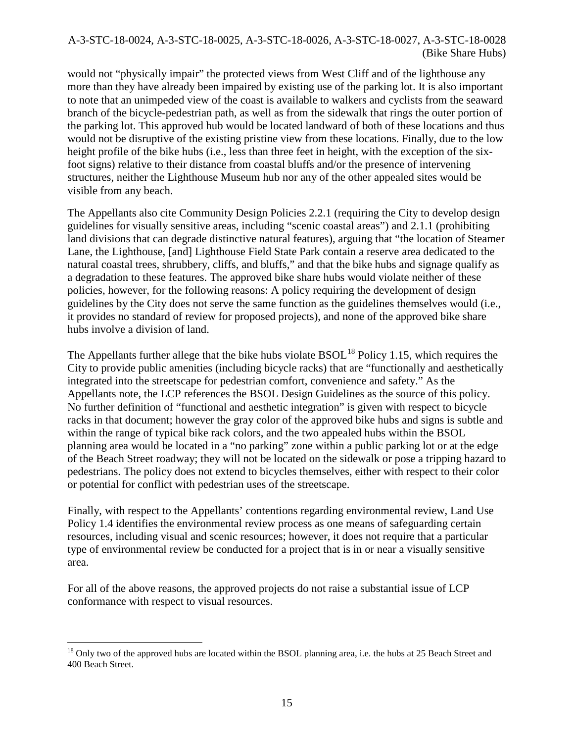would not "physically impair" the protected views from West Cliff and of the lighthouse any more than they have already been impaired by existing use of the parking lot. It is also important to note that an unimpeded view of the coast is available to walkers and cyclists from the seaward branch of the bicycle-pedestrian path, as well as from the sidewalk that rings the outer portion of the parking lot. This approved hub would be located landward of both of these locations and thus would not be disruptive of the existing pristine view from these locations. Finally, due to the low height profile of the bike hubs (i.e., less than three feet in height, with the exception of the sixfoot signs) relative to their distance from coastal bluffs and/or the presence of intervening structures, neither the Lighthouse Museum hub nor any of the other appealed sites would be visible from any beach.

The Appellants also cite Community Design Policies 2.2.1 (requiring the City to develop design guidelines for visually sensitive areas, including "scenic coastal areas") and 2.1.1 (prohibiting land divisions that can degrade distinctive natural features), arguing that "the location of Steamer Lane, the Lighthouse, [and] Lighthouse Field State Park contain a reserve area dedicated to the natural coastal trees, shrubbery, cliffs, and bluffs," and that the bike hubs and signage qualify as a degradation to these features. The approved bike share hubs would violate neither of these policies, however, for the following reasons: A policy requiring the development of design guidelines by the City does not serve the same function as the guidelines themselves would (i.e., it provides no standard of review for proposed projects), and none of the approved bike share hubs involve a division of land.

The Appellants further allege that the bike hubs violate  $BSOL<sup>18</sup>$  Policy 1.15, which requires the City to provide public amenities (including bicycle racks) that are "functionally and aesthetically integrated into the streetscape for pedestrian comfort, convenience and safety." As the Appellants note, the LCP references the BSOL Design Guidelines as the source of this policy. No further definition of "functional and aesthetic integration" is given with respect to bicycle racks in that document; however the gray color of the approved bike hubs and signs is subtle and within the range of typical bike rack colors, and the two appealed hubs within the BSOL planning area would be located in a "no parking" zone within a public parking lot or at the edge of the Beach Street roadway; they will not be located on the sidewalk or pose a tripping hazard to pedestrians. The policy does not extend to bicycles themselves, either with respect to their color or potential for conflict with pedestrian uses of the streetscape.

Finally, with respect to the Appellants' contentions regarding environmental review, Land Use Policy 1.4 identifies the environmental review process as one means of safeguarding certain resources, including visual and scenic resources; however, it does not require that a particular type of environmental review be conducted for a project that is in or near a visually sensitive area.

For all of the above reasons, the approved projects do not raise a substantial issue of LCP conformance with respect to visual resources.

<span id="page-14-0"></span> $\overline{a}$  $18$  Only two of the approved hubs are located within the BSOL planning area, i.e. the hubs at 25 Beach Street and 400 Beach Street.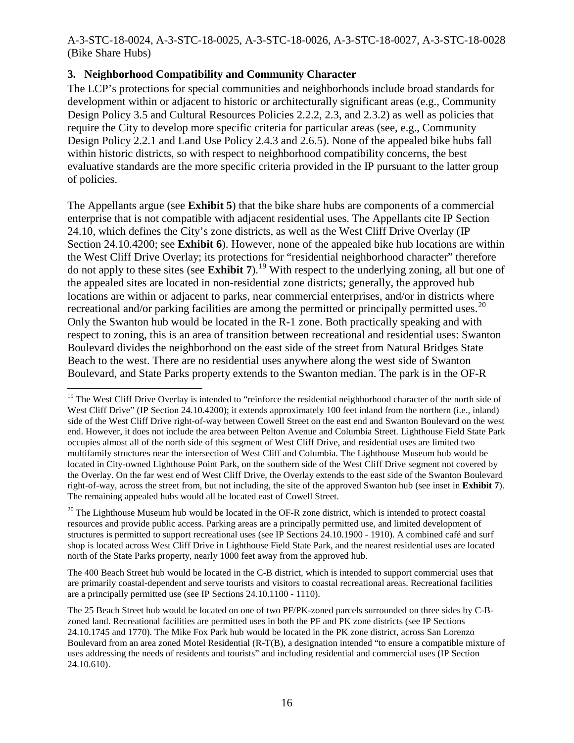### **3. Neighborhood Compatibility and Community Character**

 $\overline{a}$ 

The LCP's protections for special communities and neighborhoods include broad standards for development within or adjacent to historic or architecturally significant areas (e.g., Community Design Policy 3.5 and Cultural Resources Policies 2.2.2, 2.3, and 2.3.2) as well as policies that require the City to develop more specific criteria for particular areas (see, e.g., Community Design Policy 2.2.1 and Land Use Policy 2.4.3 and 2.6.5). None of the appealed bike hubs fall within historic districts, so with respect to neighborhood compatibility concerns, the best evaluative standards are the more specific criteria provided in the IP pursuant to the latter group of policies.

The Appellants argue (see **Exhibit 5**) that the bike share hubs are components of a commercial enterprise that is not compatible with adjacent residential uses. The Appellants cite IP Section 24.10, which defines the City's zone districts, as well as the West Cliff Drive Overlay (IP Section 24.10.4200; see **Exhibit 6**). However, none of the appealed bike hub locations are within the West Cliff Drive Overlay; its protections for "residential neighborhood character" therefore do not apply to these sites (see **Exhibit 7**).[19](#page-15-0) With respect to the underlying zoning, all but one of the appealed sites are located in non-residential zone districts; generally, the approved hub locations are within or adjacent to parks, near commercial enterprises, and/or in districts where recreational and/or parking facilities are among the permitted or principally permitted uses.<sup>[20](#page-15-1)</sup> Only the Swanton hub would be located in the R-1 zone. Both practically speaking and with respect to zoning, this is an area of transition between recreational and residential uses: Swanton Boulevard divides the neighborhood on the east side of the street from Natural Bridges State Beach to the west. There are no residential uses anywhere along the west side of Swanton Boulevard, and State Parks property extends to the Swanton median. The park is in the OF-R

<span id="page-15-1"></span> $20$  The Lighthouse Museum hub would be located in the OF-R zone district, which is intended to protect coastal resources and provide public access. Parking areas are a principally permitted use, and limited development of structures is permitted to support recreational uses (see IP Sections 24.10.1900 - 1910). A combined café and surf shop is located across West Cliff Drive in Lighthouse Field State Park, and the nearest residential uses are located north of the State Parks property, nearly 1000 feet away from the approved hub.

The 400 Beach Street hub would be located in the C-B district, which is intended to support commercial uses that are primarily coastal-dependent and serve tourists and visitors to coastal recreational areas. Recreational facilities are a principally permitted use (see IP Sections 24.10.1100 - 1110).

<span id="page-15-0"></span><sup>&</sup>lt;sup>19</sup> The West Cliff Drive Overlay is intended to "reinforce the residential neighborhood character of the north side of West Cliff Drive" (IP Section 24.10.4200); it extends approximately 100 feet inland from the northern (i.e., inland) side of the West Cliff Drive right-of-way between Cowell Street on the east end and Swanton Boulevard on the west end. However, it does not include the area between Pelton Avenue and Columbia Street. Lighthouse Field State Park occupies almost all of the north side of this segment of West Cliff Drive, and residential uses are limited two multifamily structures near the intersection of West Cliff and Columbia. The Lighthouse Museum hub would be located in City-owned Lighthouse Point Park, on the southern side of the West Cliff Drive segment not covered by the Overlay. On the far west end of West Cliff Drive, the Overlay extends to the east side of the Swanton Boulevard right-of-way, across the street from, but not including, the site of the approved Swanton hub (see inset in **Exhibit 7**). The remaining appealed hubs would all be located east of Cowell Street.

The 25 Beach Street hub would be located on one of two PF/PK-zoned parcels surrounded on three sides by C-Bzoned land. Recreational facilities are permitted uses in both the PF and PK zone districts (see IP Sections 24.10.1745 and 1770). The Mike Fox Park hub would be located in the PK zone district, across San Lorenzo Boulevard from an area zoned Motel Residential (R-T(B), a designation intended "to ensure a compatible mixture of uses addressing the needs of residents and tourists" and including residential and commercial uses (IP Section 24.10.610).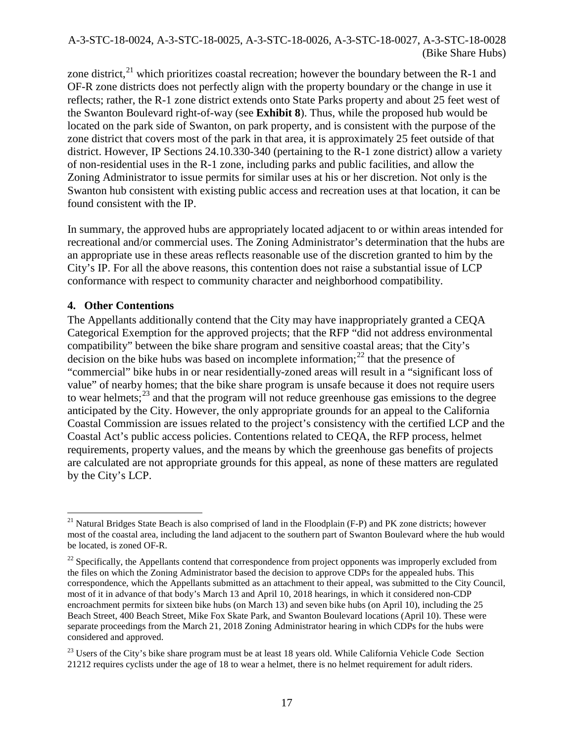zone district.<sup>[21](#page-16-0)</sup> which prioritizes coastal recreation; however the boundary between the R-1 and OF-R zone districts does not perfectly align with the property boundary or the change in use it reflects; rather, the R-1 zone district extends onto State Parks property and about 25 feet west of the Swanton Boulevard right-of-way (see **Exhibit 8**). Thus, while the proposed hub would be located on the park side of Swanton, on park property, and is consistent with the purpose of the zone district that covers most of the park in that area, it is approximately 25 feet outside of that district. However, IP Sections 24.10.330-340 (pertaining to the R-1 zone district) allow a variety of non-residential uses in the R-1 zone, including parks and public facilities, and allow the Zoning Administrator to issue permits for similar uses at his or her discretion. Not only is the Swanton hub consistent with existing public access and recreation uses at that location, it can be found consistent with the IP.

In summary, the approved hubs are appropriately located adjacent to or within areas intended for recreational and/or commercial uses. The Zoning Administrator's determination that the hubs are an appropriate use in these areas reflects reasonable use of the discretion granted to him by the City's IP. For all the above reasons, this contention does not raise a substantial issue of LCP conformance with respect to community character and neighborhood compatibility.

#### **4. Other Contentions**

The Appellants additionally contend that the City may have inappropriately granted a CEQA Categorical Exemption for the approved projects; that the RFP "did not address environmental compatibility" between the bike share program and sensitive coastal areas; that the City's decision on the bike hubs was based on incomplete information;<sup>[22](#page-16-1)</sup> that the presence of "commercial" bike hubs in or near residentially-zoned areas will result in a "significant loss of value" of nearby homes; that the bike share program is unsafe because it does not require users to wear helmets;  $23$  and that the program will not reduce greenhouse gas emissions to the degree anticipated by the City. However, the only appropriate grounds for an appeal to the California Coastal Commission are issues related to the project's consistency with the certified LCP and the Coastal Act's public access policies. Contentions related to CEQA, the RFP process, helmet requirements, property values, and the means by which the greenhouse gas benefits of projects are calculated are not appropriate grounds for this appeal, as none of these matters are regulated by the City's LCP.

<span id="page-16-0"></span> $\overline{a}$ <sup>21</sup> Natural Bridges State Beach is also comprised of land in the Floodplain (F-P) and PK zone districts; however most of the coastal area, including the land adjacent to the southern part of Swanton Boulevard where the hub would be located, is zoned OF-R.

<span id="page-16-1"></span> $^{22}$  Specifically, the Appellants contend that correspondence from project opponents was improperly excluded from the files on which the Zoning Administrator based the decision to approve CDPs for the appealed hubs. This correspondence, which the Appellants submitted as an attachment to their appeal, was submitted to the City Council, most of it in advance of that body's March 13 and April 10, 2018 hearings, in which it considered non-CDP encroachment permits for sixteen bike hubs (on March 13) and seven bike hubs (on April 10), including the 25 Beach Street, 400 Beach Street, Mike Fox Skate Park, and Swanton Boulevard locations (April 10). These were separate proceedings from the March 21, 2018 Zoning Administrator hearing in which CDPs for the hubs were considered and approved.

<span id="page-16-2"></span><sup>&</sup>lt;sup>23</sup> Users of the City's bike share program must be at least 18 years old. While California Vehicle Code Section 21212 requires cyclists under the age of 18 to wear a helmet, there is no helmet requirement for adult riders.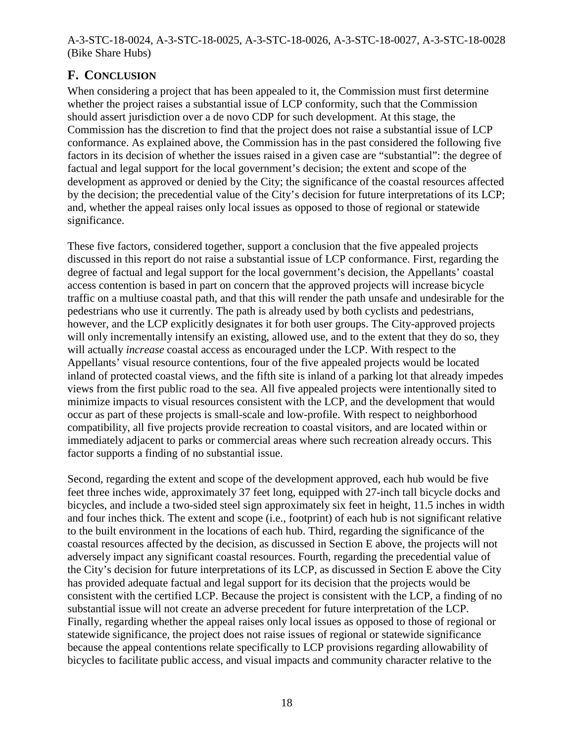# **F. CONCLUSION**

When considering a project that has been appealed to it, the Commission must first determine whether the project raises a substantial issue of LCP conformity, such that the Commission should assert jurisdiction over a de novo CDP for such development. At this stage, the Commission has the discretion to find that the project does not raise a substantial issue of LCP conformance. As explained above, the Commission has in the past considered the following five factors in its decision of whether the issues raised in a given case are "substantial": the degree of factual and legal support for the local government's decision; the extent and scope of the development as approved or denied by the City; the significance of the coastal resources affected by the decision; the precedential value of the City's decision for future interpretations of its LCP; and, whether the appeal raises only local issues as opposed to those of regional or statewide significance.

These five factors, considered together, support a conclusion that the five appealed projects discussed in this report do not raise a substantial issue of LCP conformance. First, regarding the degree of factual and legal support for the local government's decision, the Appellants' coastal access contention is based in part on concern that the approved projects will increase bicycle traffic on a multiuse coastal path, and that this will render the path unsafe and undesirable for the pedestrians who use it currently. The path is already used by both cyclists and pedestrians, however, and the LCP explicitly designates it for both user groups. The City-approved projects will only incrementally intensify an existing, allowed use, and to the extent that they do so, they will actually *increase* coastal access as encouraged under the LCP. With respect to the Appellants' visual resource contentions, four of the five appealed projects would be located inland of protected coastal views, and the fifth site is inland of a parking lot that already impedes views from the first public road to the sea. All five appealed projects were intentionally sited to minimize impacts to visual resources consistent with the LCP, and the development that would occur as part of these projects is small-scale and low-profile. With respect to neighborhood compatibility, all five projects provide recreation to coastal visitors, and are located within or immediately adjacent to parks or commercial areas where such recreation already occurs. This factor supports a finding of no substantial issue.

Second, regarding the extent and scope of the development approved, each hub would be five feet three inches wide, approximately 37 feet long, equipped with 27-inch tall bicycle docks and bicycles, and include a two-sided steel sign approximately six feet in height, 11.5 inches in width and four inches thick. The extent and scope (i.e., footprint) of each hub is not significant relative to the built environment in the locations of each hub. Third, regarding the significance of the coastal resources affected by the decision, as discussed in Section E above, the projects will not adversely impact any significant coastal resources. Fourth, regarding the precedential value of the City's decision for future interpretations of its LCP, as discussed in Section E above the City has provided adequate factual and legal support for its decision that the projects would be consistent with the certified LCP. Because the project is consistent with the LCP, a finding of no substantial issue will not create an adverse precedent for future interpretation of the LCP. Finally, regarding whether the appeal raises only local issues as opposed to those of regional or statewide significance, the project does not raise issues of regional or statewide significance because the appeal contentions relate specifically to LCP provisions regarding allowability of bicycles to facilitate public access, and visual impacts and community character relative to the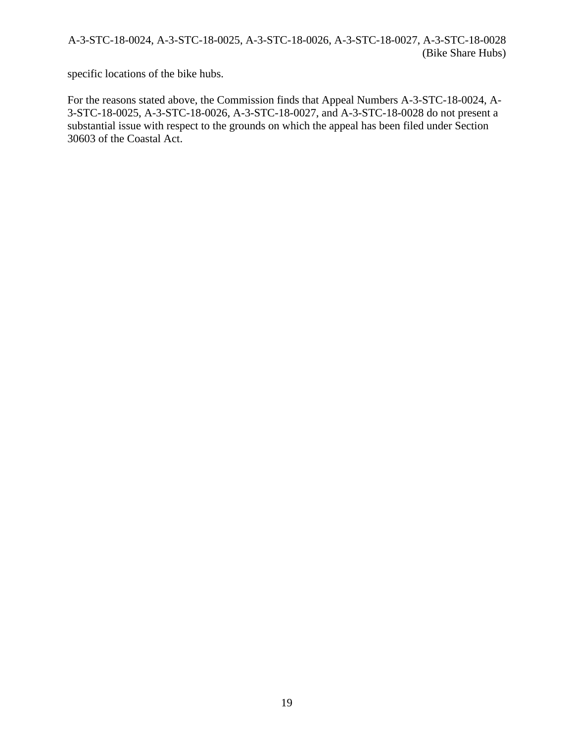specific locations of the bike hubs.

For the reasons stated above, the Commission finds that Appeal Numbers A-3-STC-18-0024, A-3-STC-18-0025, A-3-STC-18-0026, A-3-STC-18-0027, and A-3-STC-18-0028 do not present a substantial issue with respect to the grounds on which the appeal has been filed under Section 30603 of the Coastal Act.